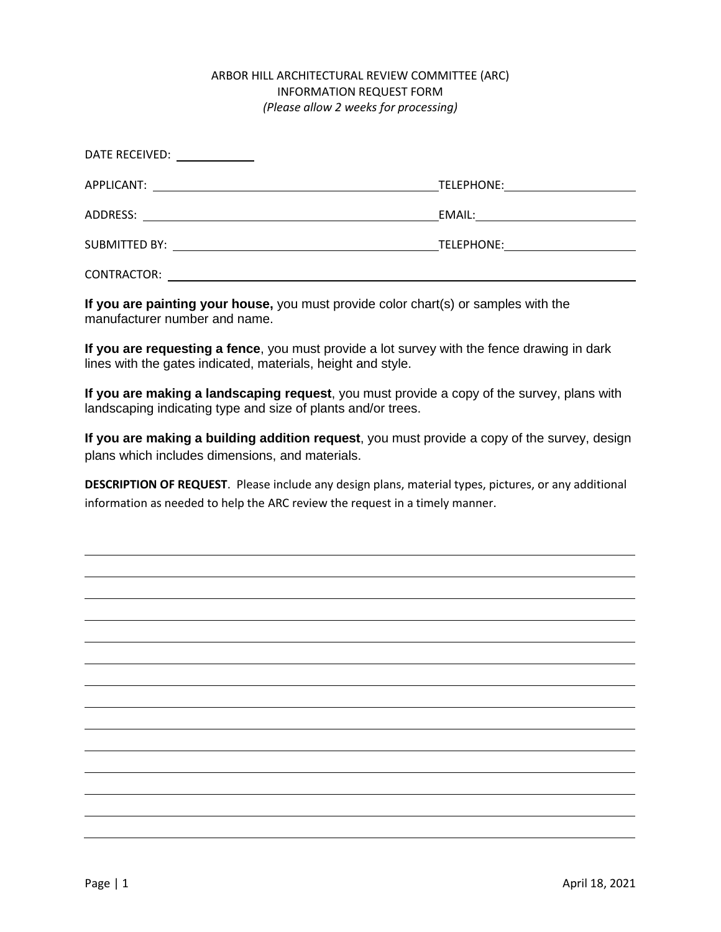## ARBOR HILL ARCHITECTURAL REVIEW COMMITTEE (ARC) INFORMATION REQUEST FORM *(Please allow 2 weeks for processing)*

| DATE RECEIVED:<br><u>and the community of the community of the community of the community of the community of the community of the community of the community of the community of the community of the community of the community of the community</u> |                                    |
|--------------------------------------------------------------------------------------------------------------------------------------------------------------------------------------------------------------------------------------------------------|------------------------------------|
|                                                                                                                                                                                                                                                        |                                    |
| ADDRESS:                                                                                                                                                                                                                                               |                                    |
|                                                                                                                                                                                                                                                        | TELEPHONE: <u>________________</u> |
| CONTRACTOR:                                                                                                                                                                                                                                            |                                    |

**If you are painting your house,** you must provide color chart(s) or samples with the manufacturer number and name.

**If you are requesting a fence**, you must provide a lot survey with the fence drawing in dark lines with the gates indicated, materials, height and style.

**If you are making a landscaping request**, you must provide a copy of the survey, plans with landscaping indicating type and size of plants and/or trees.

**If you are making a building addition request**, you must provide a copy of the survey, design plans which includes dimensions, and materials.

**DESCRIPTION OF REQUEST**. Please include any design plans, material types, pictures, or any additional information as needed to help the ARC review the request in a timely manner.